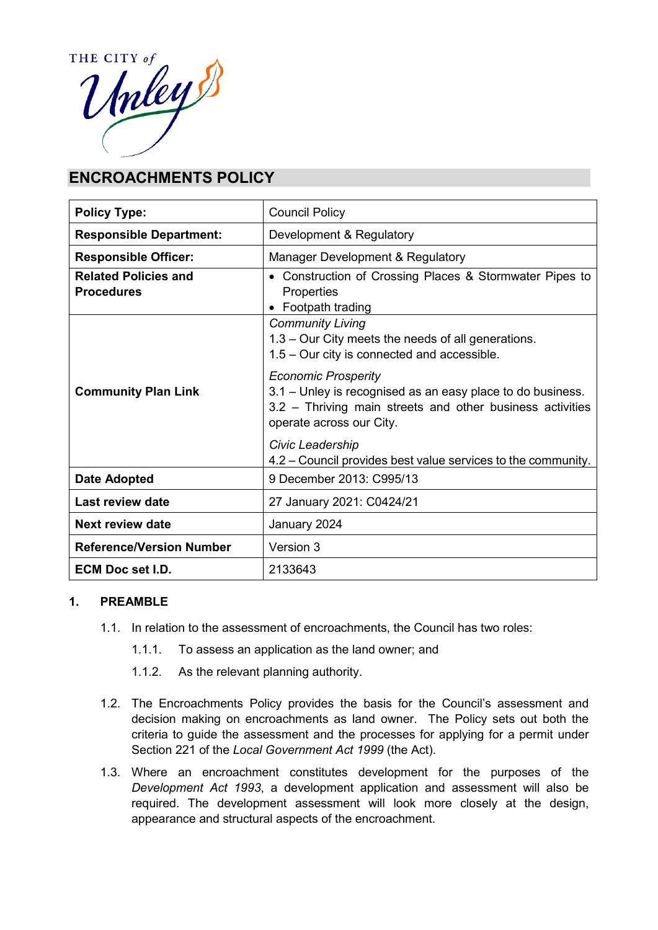

# **ENCROACHMENTS POLICY**

| <b>Policy Type:</b>                              | <b>Council Policy</b>                                                                                                                                                             |
|--------------------------------------------------|-----------------------------------------------------------------------------------------------------------------------------------------------------------------------------------|
| <b>Responsible Department:</b>                   | Development & Regulatory                                                                                                                                                          |
| <b>Responsible Officer:</b>                      | Manager Development & Regulatory                                                                                                                                                  |
| <b>Related Policies and</b><br><b>Procedures</b> | Construction of Crossing Places & Stormwater Pipes to<br><b>Properties</b><br>Footpath trading                                                                                    |
|                                                  | <b>Community Living</b><br>1.3 - Our City meets the needs of all generations.<br>1.5 – Our city is connected and accessible.                                                      |
| <b>Community Plan Link</b>                       | <b>Economic Prosperity</b><br>3.1 – Unley is recognised as an easy place to do business.<br>3.2 - Thriving main streets and other business activities<br>operate across our City. |
|                                                  | Civic Leadership<br>4.2 – Council provides best value services to the community.                                                                                                  |
| <b>Date Adopted</b>                              | 9 December 2013: C995/13                                                                                                                                                          |
| Last review date                                 | 27 January 2021: C0424/21                                                                                                                                                         |
| Next review date                                 | January 2024                                                                                                                                                                      |
| <b>Reference/Version Number</b>                  | Version 3                                                                                                                                                                         |
| <b>ECM Doc set I.D.</b>                          | 2133643                                                                                                                                                                           |

## **1. PREAMBLE**

- 1.1. In relation to the assessment of encroachments, the Council has two roles:
	- 1.1.1. To assess an application as the land owner; and
	- 1.1.2. As the relevant planning authority.
- 1.2. The Encroachments Policy provides the basis for the Council's assessment and decision making on encroachments as land owner. The Policy sets out both the criteria to guide the assessment and the processes for applying for a permit under Section 221 of the *Local Government Act 1999* (the Act).
- 1.3. Where an encroachment constitutes development for the purposes of the *Development Act 1993*, a development application and assessment will also be required. The development assessment will look more closely at the design, appearance and structural aspects of the encroachment.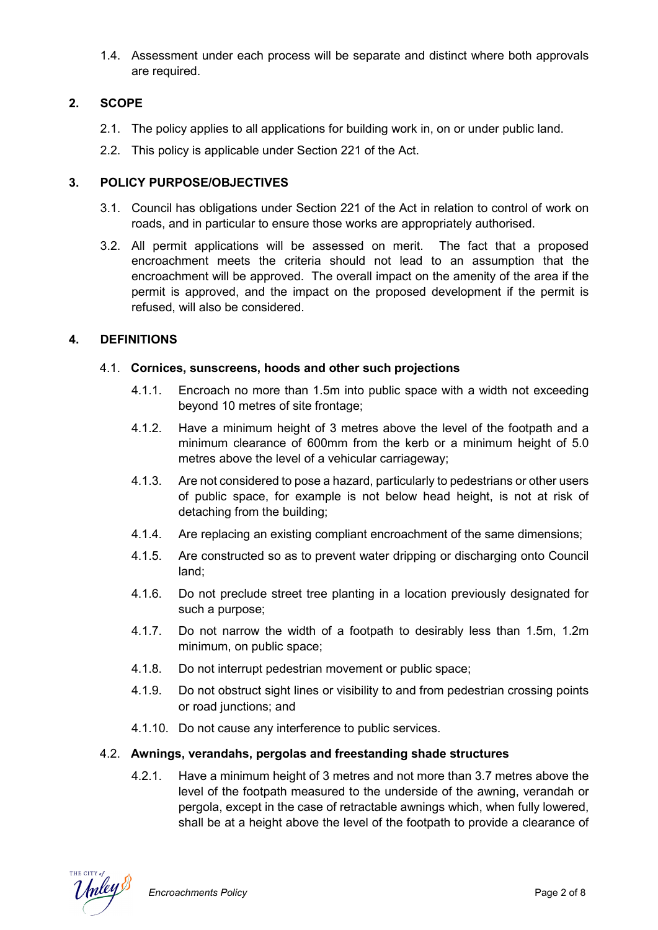1.4. Assessment under each process will be separate and distinct where both approvals are required.

## **2. SCOPE**

- 2.1. The policy applies to all applications for building work in, on or under public land.
- 2.2. This policy is applicable under Section 221 of the Act.

#### **3. POLICY PURPOSE/OBJECTIVES**

- 3.1. Council has obligations under Section 221 of the Act in relation to control of work on roads, and in particular to ensure those works are appropriately authorised.
- 3.2. All permit applications will be assessed on merit. The fact that a proposed encroachment meets the criteria should not lead to an assumption that the encroachment will be approved. The overall impact on the amenity of the area if the permit is approved, and the impact on the proposed development if the permit is refused, will also be considered.

## **4. DEFINITIONS**

#### 4.1. **Cornices, sunscreens, hoods and other such projections**

- 4.1.1. Encroach no more than 1.5m into public space with a width not exceeding beyond 10 metres of site frontage;
- 4.1.2. Have a minimum height of 3 metres above the level of the footpath and a minimum clearance of 600mm from the kerb or a minimum height of 5.0 metres above the level of a vehicular carriageway;
- 4.1.3. Are not considered to pose a hazard, particularly to pedestrians or other users of public space, for example is not below head height, is not at risk of detaching from the building;
- 4.1.4. Are replacing an existing compliant encroachment of the same dimensions;
- 4.1.5. Are constructed so as to prevent water dripping or discharging onto Council land;
- 4.1.6. Do not preclude street tree planting in a location previously designated for such a purpose;
- 4.1.7. Do not narrow the width of a footpath to desirably less than 1.5m, 1.2m minimum, on public space;
- 4.1.8. Do not interrupt pedestrian movement or public space;
- 4.1.9. Do not obstruct sight lines or visibility to and from pedestrian crossing points or road junctions; and
- 4.1.10. Do not cause any interference to public services.

## 4.2. **Awnings, verandahs, pergolas and freestanding shade structures**

4.2.1. Have a minimum height of 3 metres and not more than 3.7 metres above the level of the footpath measured to the underside of the awning, verandah or pergola, except in the case of retractable awnings which, when fully lowered, shall be at a height above the level of the footpath to provide a clearance of

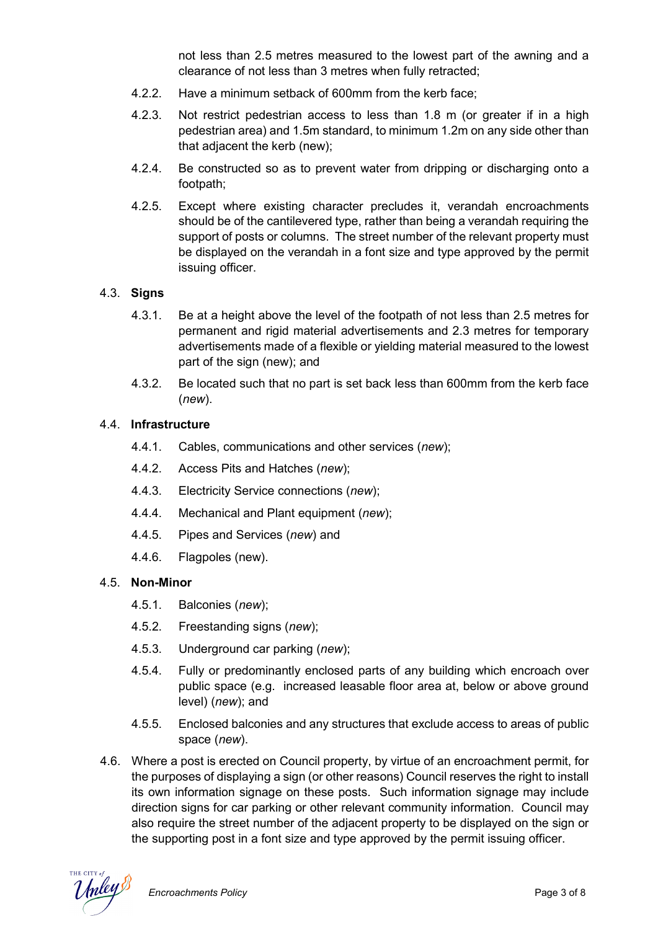not less than 2.5 metres measured to the lowest part of the awning and a clearance of not less than 3 metres when fully retracted;

- 4.2.2. Have a minimum setback of 600mm from the kerb face;
- 4.2.3. Not restrict pedestrian access to less than 1.8 m (or greater if in a high pedestrian area) and 1.5m standard, to minimum 1.2m on any side other than that adjacent the kerb (new);
- 4.2.4. Be constructed so as to prevent water from dripping or discharging onto a footpath;
- 4.2.5. Except where existing character precludes it, verandah encroachments should be of the cantilevered type, rather than being a verandah requiring the support of posts or columns. The street number of the relevant property must be displayed on the verandah in a font size and type approved by the permit issuing officer.

#### 4.3. **Signs**

- 4.3.1. Be at a height above the level of the footpath of not less than 2.5 metres for permanent and rigid material advertisements and 2.3 metres for temporary advertisements made of a flexible or yielding material measured to the lowest part of the sign (new); and
- 4.3.2. Be located such that no part is set back less than 600mm from the kerb face (*new*).

#### 4.4. **Infrastructure**

- 4.4.1. Cables, communications and other services (*new*);
- 4.4.2. Access Pits and Hatches (*new*);
- 4.4.3. Electricity Service connections (*new*);
- 4.4.4. Mechanical and Plant equipment (*new*);
- 4.4.5. Pipes and Services (*new*) and
- 4.4.6. Flagpoles (new).

#### 4.5. **Non-Minor**

- 4.5.1. Balconies (*new*);
- 4.5.2. Freestanding signs (*new*);
- 4.5.3. Underground car parking (*new*);
- 4.5.4. Fully or predominantly enclosed parts of any building which encroach over public space (e.g. increased leasable floor area at, below or above ground level) (*new*); and
- 4.5.5. Enclosed balconies and any structures that exclude access to areas of public space (*new*).
- 4.6. Where a post is erected on Council property, by virtue of an encroachment permit, for the purposes of displaying a sign (or other reasons) Council reserves the right to install its own information signage on these posts. Such information signage may include direction signs for car parking or other relevant community information. Council may also require the street number of the adjacent property to be displayed on the sign or the supporting post in a font size and type approved by the permit issuing officer.

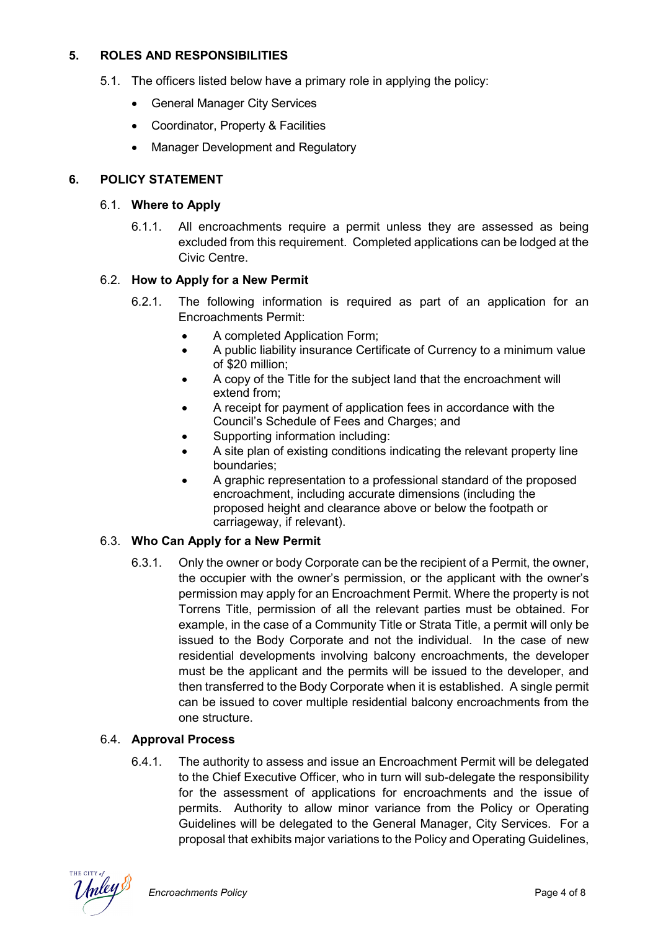## **5. ROLES AND RESPONSIBILITIES**

- 5.1. The officers listed below have a primary role in applying the policy:
	- General Manager City Services
	- Coordinator, Property & Facilities
	- Manager Development and Regulatory

## **6. POLICY STATEMENT**

#### 6.1. **Where to Apply**

6.1.1. All encroachments require a permit unless they are assessed as being excluded from this requirement. Completed applications can be lodged at the Civic Centre.

#### 6.2. **How to Apply for a New Permit**

- 6.2.1. The following information is required as part of an application for an Encroachments Permit:
	- A completed Application Form;
	- A public liability insurance Certificate of Currency to a minimum value of \$20 million;
	- A copy of the Title for the subject land that the encroachment will extend from;
	- A receipt for payment of application fees in accordance with the Council's Schedule of Fees and Charges; and
	- Supporting information including:
	- A site plan of existing conditions indicating the relevant property line boundaries;
	- A graphic representation to a professional standard of the proposed encroachment, including accurate dimensions (including the proposed height and clearance above or below the footpath or carriageway, if relevant).

## 6.3. **Who Can Apply for a New Permit**

6.3.1. Only the owner or body Corporate can be the recipient of a Permit, the owner, the occupier with the owner's permission, or the applicant with the owner's permission may apply for an Encroachment Permit. Where the property is not Torrens Title, permission of all the relevant parties must be obtained. For example, in the case of a Community Title or Strata Title, a permit will only be issued to the Body Corporate and not the individual. In the case of new residential developments involving balcony encroachments, the developer must be the applicant and the permits will be issued to the developer, and then transferred to the Body Corporate when it is established. A single permit can be issued to cover multiple residential balcony encroachments from the one structure.

## 6.4. **Approval Process**

6.4.1. The authority to assess and issue an Encroachment Permit will be delegated to the Chief Executive Officer, who in turn will sub-delegate the responsibility for the assessment of applications for encroachments and the issue of permits. Authority to allow minor variance from the Policy or Operating Guidelines will be delegated to the General Manager, City Services. For a proposal that exhibits major variations to the Policy and Operating Guidelines,

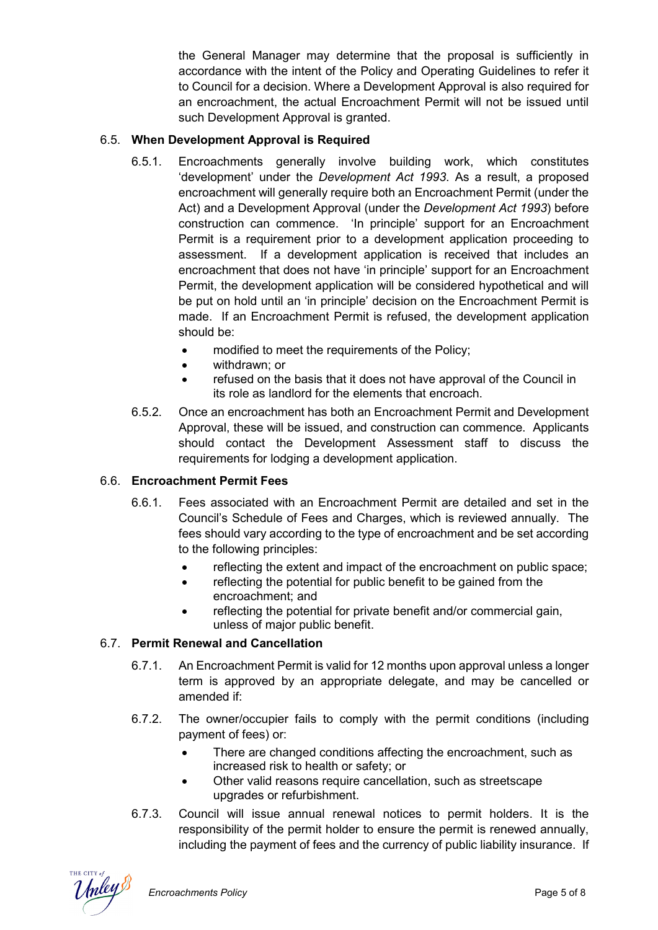the General Manager may determine that the proposal is sufficiently in accordance with the intent of the Policy and Operating Guidelines to refer it to Council for a decision. Where a Development Approval is also required for an encroachment, the actual Encroachment Permit will not be issued until such Development Approval is granted.

## 6.5. **When Development Approval is Required**

- 6.5.1. Encroachments generally involve building work, which constitutes 'development' under the *Development Act 1993*. As a result, a proposed encroachment will generally require both an Encroachment Permit (under the Act) and a Development Approval (under the *Development Act 1993*) before construction can commence. 'In principle' support for an Encroachment Permit is a requirement prior to a development application proceeding to assessment. If a development application is received that includes an encroachment that does not have 'in principle' support for an Encroachment Permit, the development application will be considered hypothetical and will be put on hold until an 'in principle' decision on the Encroachment Permit is made. If an Encroachment Permit is refused, the development application should be:
	- modified to meet the requirements of the Policy;
	- withdrawn; or
	- refused on the basis that it does not have approval of the Council in its role as landlord for the elements that encroach.
- 6.5.2. Once an encroachment has both an Encroachment Permit and Development Approval, these will be issued, and construction can commence. Applicants should contact the Development Assessment staff to discuss the requirements for lodging a development application.

## 6.6. **Encroachment Permit Fees**

- 6.6.1. Fees associated with an Encroachment Permit are detailed and set in the Council's Schedule of Fees and Charges, which is reviewed annually. The fees should vary according to the type of encroachment and be set according to the following principles:
	- reflecting the extent and impact of the encroachment on public space;
	- reflecting the potential for public benefit to be gained from the encroachment; and
	- reflecting the potential for private benefit and/or commercial gain, unless of major public benefit.

# 6.7. **Permit Renewal and Cancellation**

- 6.7.1. An Encroachment Permit is valid for 12 months upon approval unless a longer term is approved by an appropriate delegate, and may be cancelled or amended if:
- 6.7.2. The owner/occupier fails to comply with the permit conditions (including payment of fees) or:
	- There are changed conditions affecting the encroachment, such as increased risk to health or safety; or
	- Other valid reasons require cancellation, such as streetscape upgrades or refurbishment.
- 6.7.3. Council will issue annual renewal notices to permit holders. It is the responsibility of the permit holder to ensure the permit is renewed annually, including the payment of fees and the currency of public liability insurance. If

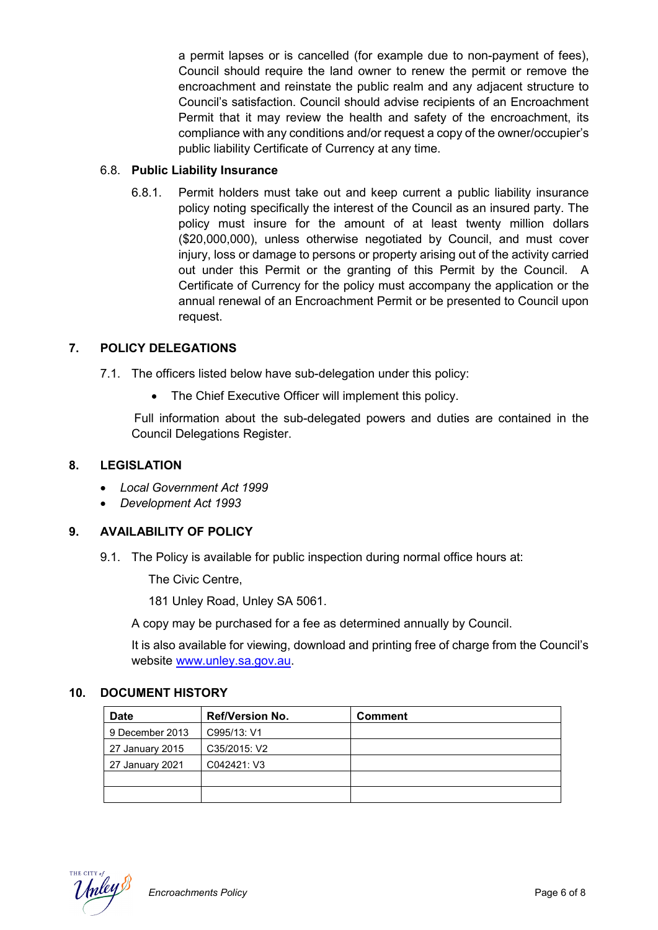a permit lapses or is cancelled (for example due to non-payment of fees), Council should require the land owner to renew the permit or remove the encroachment and reinstate the public realm and any adjacent structure to Council's satisfaction. Council should advise recipients of an Encroachment Permit that it may review the health and safety of the encroachment, its compliance with any conditions and/or request a copy of the owner/occupier's public liability Certificate of Currency at any time.

## 6.8. **Public Liability Insurance**

6.8.1. Permit holders must take out and keep current a public liability insurance policy noting specifically the interest of the Council as an insured party. The policy must insure for the amount of at least twenty million dollars (\$20,000,000), unless otherwise negotiated by Council, and must cover injury, loss or damage to persons or property arising out of the activity carried out under this Permit or the granting of this Permit by the Council. A Certificate of Currency for the policy must accompany the application or the annual renewal of an Encroachment Permit or be presented to Council upon request.

#### **7. POLICY DELEGATIONS**

- 7.1. The officers listed below have sub-delegation under this policy:
	- The Chief Executive Officer will implement this policy.

 Full information about the sub-delegated powers and duties are contained in the Council Delegations Register.

#### **8. LEGISLATION**

- *Local Government Act 1999*
- *Development Act 1993*

## **9. AVAILABILITY OF POLICY**

9.1. The Policy is available for public inspection during normal office hours at:

The Civic Centre,

181 Unley Road, Unley SA 5061.

A copy may be purchased for a fee as determined annually by Council.

It is also available for viewing, download and printing free of charge from the Council's website www.unley.sa.gov.au.

#### **10. DOCUMENT HISTORY**

| <b>Date</b>     | <b>Ref/Version No.</b> | <b>Comment</b> |
|-----------------|------------------------|----------------|
| 9 December 2013 | C995/13: V1            |                |
| 27 January 2015 | C35/2015: V2           |                |
| 27 January 2021 | C042421: V3            |                |
|                 |                        |                |
|                 |                        |                |



*Encroachments Policy* Page 6 of 8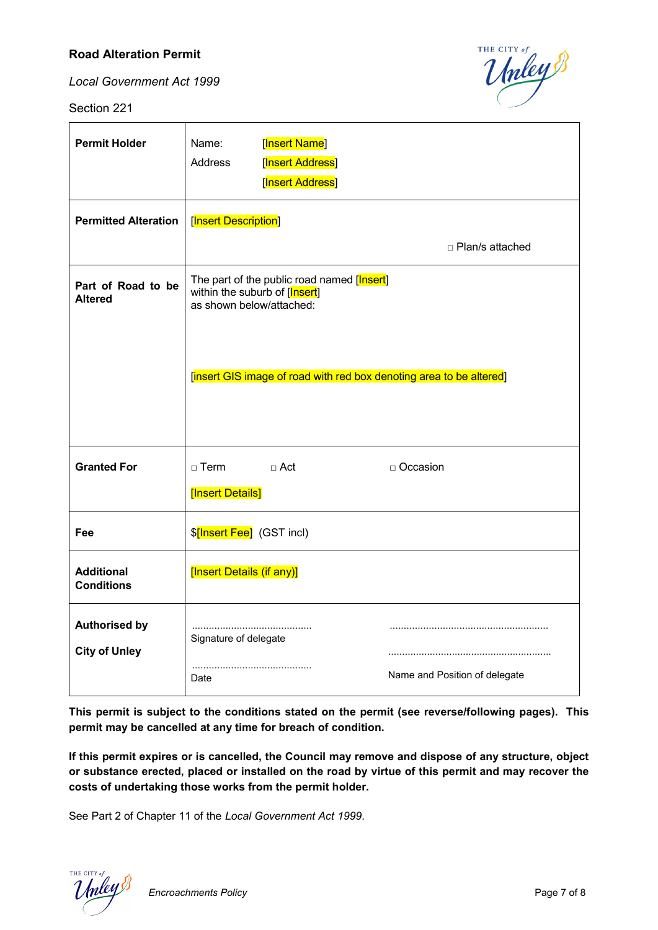## **Road Alteration Permit**

*Local Government Act 1999*

Section 221



| <b>Permit Holder</b>                         | [Insert Name]<br>Name:<br>[Insert Address]<br>Address<br>[Insert Address]                               |
|----------------------------------------------|---------------------------------------------------------------------------------------------------------|
| <b>Permitted Alteration</b>                  | [Insert Description]<br>□ Plan/s attached                                                               |
| Part of Road to be<br><b>Altered</b>         | The part of the public road named [Insert]<br>within the suburb of [Insert]<br>as shown below/attached: |
|                                              | [insert GIS image of road with red box denoting area to be altered]                                     |
| <b>Granted For</b>                           | $\Box$ Term<br>$\sqcap$ Act<br>□ Occasion<br>[Insert Details]                                           |
| Fee                                          | \$[Insert Fee] (GST incl)                                                                               |
| <b>Additional</b><br><b>Conditions</b>       | [Insert Details (if any)]                                                                               |
| <b>Authorised by</b><br><b>City of Unley</b> | Signature of delegate<br>Name and Position of delegate<br>Date                                          |

**This permit is subject to the conditions stated on the permit (see reverse/following pages). This permit may be cancelled at any time for breach of condition.**

**If this permit expires or is cancelled, the Council may remove and dispose of any structure, object or substance erected, placed or installed on the road by virtue of this permit and may recover the costs of undertaking those works from the permit holder.**

See Part 2 of Chapter 11 of the *Local Government Act 1999.*

**Encroachments Policy Page 7 of 8**